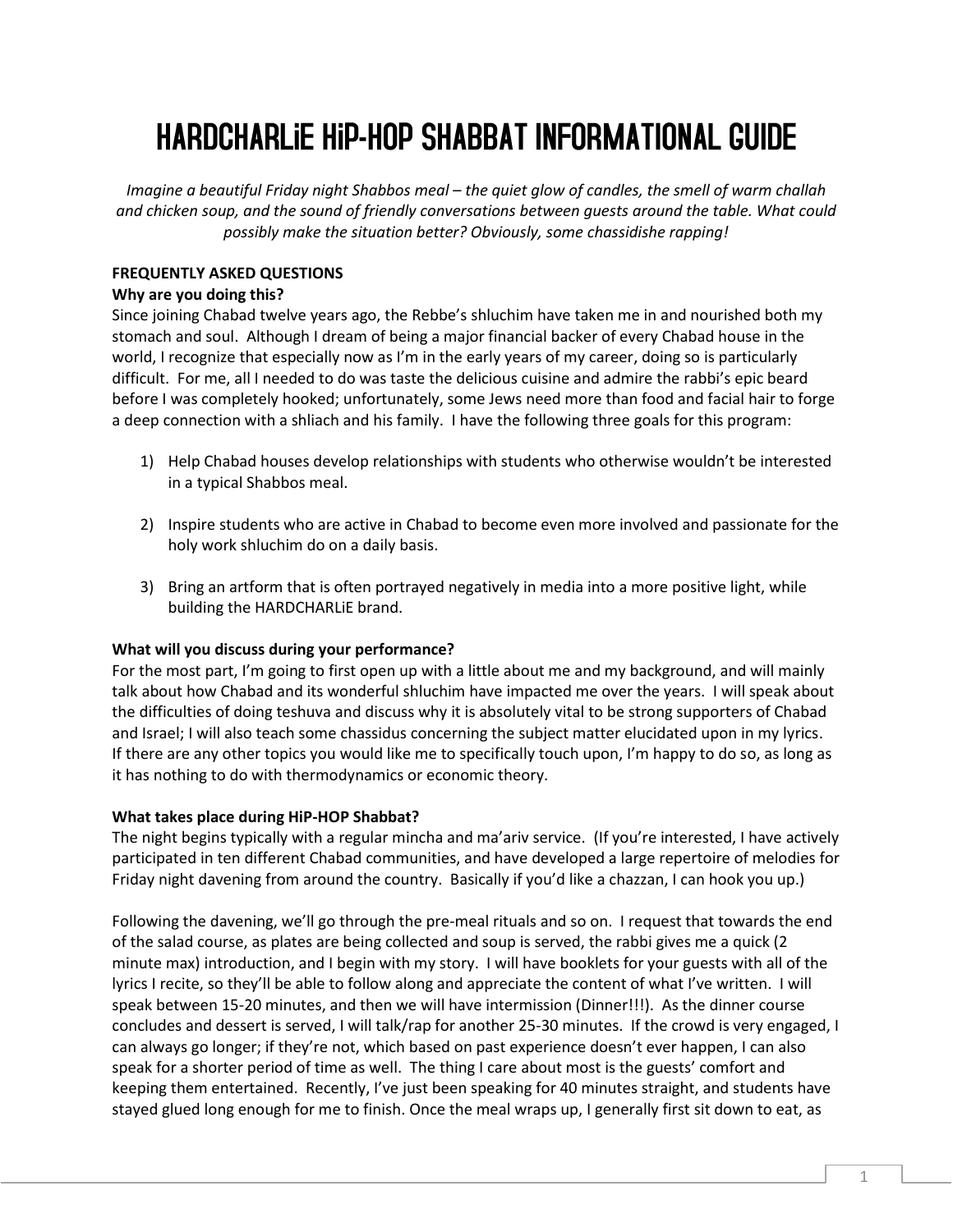# **HARDCHARLIE HIP-HOP SHABBAT INFORMATIONAL GUIDE**

*Imagine a beautiful Friday night Shabbos meal – the quiet glow of candles, the smell of warm challah and chicken soup, and the sound of friendly conversations between guests around the table. What could possibly make the situation better? Obviously, some chassidishe rapping!* 

## **FREQUENTLY ASKED QUESTIONS**

### **Why are you doing this?**

Since joining Chabad twelve years ago, the Rebbe's shluchim have taken me in and nourished both my stomach and soul. Although I dream of being a major financial backer of every Chabad house in the world, I recognize that especially now as I'm in the early years of my career, doing so is particularly difficult. For me, all I needed to do was taste the delicious cuisine and admire the rabbi's epic beard before I was completely hooked; unfortunately, some Jews need more than food and facial hair to forge a deep connection with a shliach and his family. I have the following three goals for this program:

- 1) Help Chabad houses develop relationships with students who otherwise wouldn't be interested in a typical Shabbos meal.
- 2) Inspire students who are active in Chabad to become even more involved and passionate for the holy work shluchim do on a daily basis.
- 3) Bring an artform that is often portrayed negatively in media into a more positive light, while building the HARDCHARLiE brand.

### **What will you discuss during your performance?**

For the most part, I'm going to first open up with a little about me and my background, and will mainly talk about how Chabad and its wonderful shluchim have impacted me over the years. I will speak about the difficulties of doing teshuva and discuss why it is absolutely vital to be strong supporters of Chabad and Israel; I will also teach some chassidus concerning the subject matter elucidated upon in my lyrics. If there are any other topics you would like me to specifically touch upon, I'm happy to do so, as long as it has nothing to do with thermodynamics or economic theory.

### **What takes place during HiP-HOP Shabbat?**

The night begins typically with a regular mincha and ma'ariv service. (If you're interested, I have actively participated in ten different Chabad communities, and have developed a large repertoire of melodies for Friday night davening from around the country. Basically if you'd like a chazzan, I can hook you up.)

Following the davening, we'll go through the pre-meal rituals and so on. I request that towards the end of the salad course, as plates are being collected and soup is served, the rabbi gives me a quick (2 minute max) introduction, and I begin with my story. I will have booklets for your guests with all of the lyrics I recite, so they'll be able to follow along and appreciate the content of what I've written. I will speak between 15-20 minutes, and then we will have intermission (Dinner!!!). As the dinner course concludes and dessert is served, I will talk/rap for another 25-30 minutes. If the crowd is very engaged, I can always go longer; if they're not, which based on past experience doesn't ever happen, I can also speak for a shorter period of time as well. The thing I care about most is the guests' comfort and keeping them entertained. Recently, I've just been speaking for 40 minutes straight, and students have stayed glued long enough for me to finish. Once the meal wraps up, I generally first sit down to eat, as